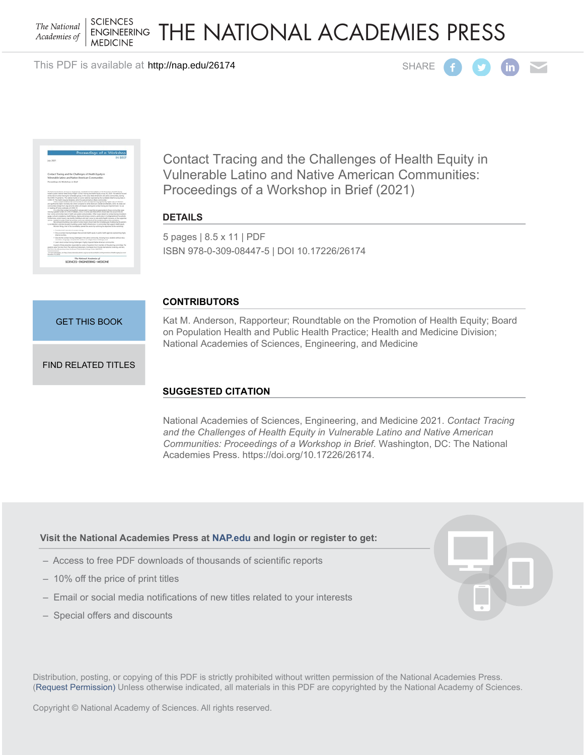**SCIENCES** The National **ENGINEERING** Academies of **MEDICINE** 

# THE NATIONAL ACADEMIES PRESS

This PDF is available at http://nap.edu/26174 compared and the set of the SHARE





Contact Tracing and the Challenges of Health Equity in Vulnerable Latino and Native American Communities: Proceedings of a Workshop in Brief (2021)

**DETAILS**

5 pages | 8.5 x 11 | PDF ISBN 978-0-309-08447-5 | DOI 10.17226/26174

# **CONTRIBUTORS**

[GET THIS BOOK](http://cart.nap.edu/cart/cart.cgi?list=fs&action=buy%20it&record_id=26174&isbn=978-0-309-08447-5&quantity=1)

Kat M. Anderson, Rapporteur; Roundtable on the Promotion of Health Equity; Board on Population Health and Public Health Practice; Health and Medicine Division; National Academies of Sciences, Engineering, and Medicine

# [FIND RELATED TITLES](http://www.nap.edu/related.php?record_id=26174)

# **SUGGESTED CITATION**

National Academies of Sciences, Engineering, and Medicine 2021. *Contact Tracing and the Challenges of Health Equity in Vulnerable Latino and Native American Communities: Proceedings of a Workshop in Brief*. Washington, DC: The National Academies Press. https://doi.org/10.17226/26174.

# **Visit the National Academies Press at [NAP.edu](http://nap.edu) and login or register to get:**

- Access to free PDF downloads of thousands of scientific reports
- 10% off the price of print titles
- Email or social media notifications of new titles related to your interests
- Special offers and discounts



Distribution, posting, or copying of this PDF is strictly prohibited without written permission of the National Academies Press. [\(Request Permission](http://www.nap.edu/reprint_permission.html)) Unless otherwise indicated, all materials in this PDF are copyrighted by the National Academy of Sciences.

Copyright © National Academy of Sciences. All rights reserved.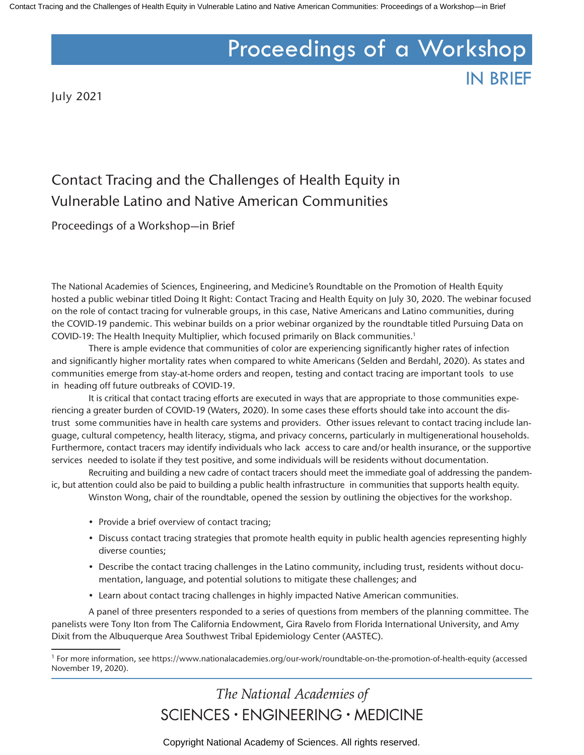# Proceedings of a Workshop

IN BRIEF

July 2021

# Contact Tracing and the Challenges of Health Equity in Vulnerable Latino and Native American Communities

Proceedings of a Workshop—in Brief

The National Academies of Sciences, Engineering, and Medicine's Roundtable on the Promotion of Health Equity hosted a public webinar titled Doing It Right: Contact Tracing and Health Equity on July 30, 2020. The webinar focused on the role of contact tracing for vulnerable groups, in this case, Native Americans and Latino communities, during the COVID-19 pandemic. This webinar builds on a prior webinar organized by the roundtable titled Pursuing Data on COVID-19: The Health Inequity Multiplier, which focused primarily on Black communities.<sup>1</sup>

There is ample evidence that communities of color are experiencing significantly higher rates of infection and significantly higher mortality rates when compared to white Americans (Selden and Berdahl, 2020). As states and communities emerge from stay-at-home orders and reopen, testing and contact tracing are important tools to use in heading off future outbreaks of COVID-19.

It is critical that contact tracing efforts are executed in ways that are appropriate to those communities experiencing a greater burden of COVID-19 (Waters, 2020). In some cases these efforts should take into account the distrust some communities have in health care systems and providers. Other issues relevant to contact tracing include language, cultural competency, health literacy, stigma, and privacy concerns, particularly in multigenerational households. Furthermore, contact tracers may identify individuals who lack access to care and/or health insurance, or the supportive services needed to isolate if they test positive, and some individuals will be residents without documentation.

Recruiting and building a new cadre of contact tracers should meet the immediate goal of addressing the pandemic, but attention could also be paid to building a public health infrastructure in communities that supports health equity.

Winston Wong, chair of the roundtable, opened the session by outlining the objectives for the workshop.

- Provide a brief overview of contact tracing;
- Discuss contact tracing strategies that promote health equity in public health agencies representing highly diverse counties;
- Describe the contact tracing challenges in the Latino community, including trust, residents without documentation, language, and potential solutions to mitigate these challenges; and
- Learn about contact tracing challenges in highly impacted Native American communities.

A panel of three presenters responded to a series of questions from members of the planning committee. The panelists were Tony Iton from The California Endowment, Gira Ravelo from Florida International University, and Amy Dixit from the Albuquerque Area Southwest Tribal Epidemiology Center (AASTEC).

# The National Academies of SCIENCES · ENGINEERING · MEDICINE

Copyright National Academy of Sciences. All rights reserved.

<sup>1</sup> For more information, see https://www.nationalacademies.org/our-work/roundtable-on-the-promotion-of-health-equity (accessed November 19, 2020).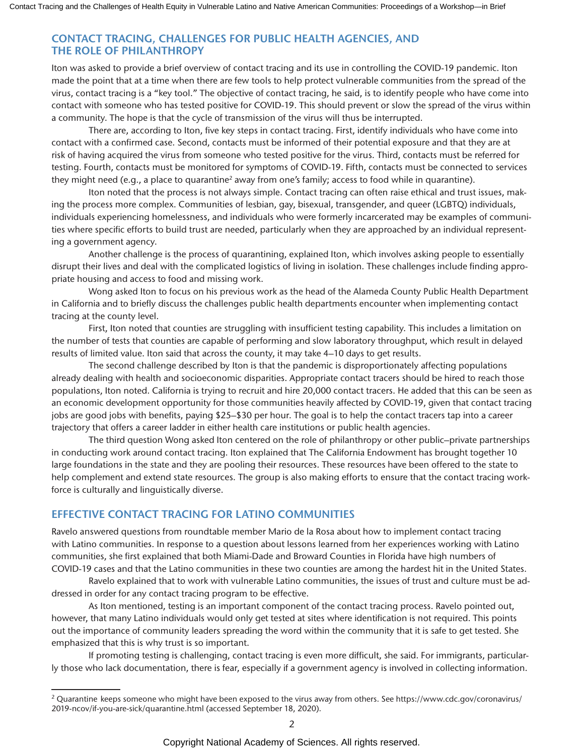# **CONTACT TRACING, CHALLENGES FOR PUBLIC HEALTH AGENCIES, AND THE ROLE OF PHILANTHROPY**

Iton was asked to provide a brief overview of contact tracing and its use in controlling the COVID-19 pandemic. Iton made the point that at a time when there are few tools to help protect vulnerable communities from the spread of the virus, contact tracing is a "key tool." The objective of contact tracing, he said, is to identify people who have come into contact with someone who has tested positive for COVID-19. This should prevent or slow the spread of the virus within a community. The hope is that the cycle of transmission of the virus will thus be interrupted.

There are, according to Iton, five key steps in contact tracing. First, identify individuals who have come into contact with a confirmed case. Second, contacts must be informed of their potential exposure and that they are at risk of having acquired the virus from someone who tested positive for the virus. Third, contacts must be referred for testing. Fourth, contacts must be monitored for symptoms of COVID-19. Fifth, contacts must be connected to services they might need (e.g., a place to quarantine<sup>2</sup> away from one's family; access to food while in quarantine).

Iton noted that the process is not always simple. Contact tracing can often raise ethical and trust issues, making the process more complex. Communities of lesbian, gay, bisexual, transgender, and queer (LGBTQ) individuals, individuals experiencing homelessness, and individuals who were formerly incarcerated may be examples of communities where specific efforts to build trust are needed, particularly when they are approached by an individual representing a government agency.

Another challenge is the process of quarantining, explained Iton, which involves asking people to essentially disrupt their lives and deal with the complicated logistics of living in isolation. These challenges include finding appropriate housing and access to food and missing work.

Wong asked Iton to focus on his previous work as the head of the Alameda County Public Health Department in California and to briefly discuss the challenges public health departments encounter when implementing contact tracing at the county level.

First, Iton noted that counties are struggling with insufficient testing capability. This includes a limitation on the number of tests that counties are capable of performing and slow laboratory throughput, which result in delayed results of limited value. Iton said that across the county, it may take 4–10 days to get results.

The second challenge described by Iton is that the pandemic is disproportionately affecting populations already dealing with health and socioeconomic disparities. Appropriate contact tracers should be hired to reach those populations, Iton noted. California is trying to recruit and hire 20,000 contact tracers. He added that this can be seen as an economic development opportunity for those communities heavily affected by COVID-19, given that contact tracing jobs are good jobs with benefits, paying \$25–\$30 per hour. The goal is to help the contact tracers tap into a career trajectory that offers a career ladder in either health care institutions or public health agencies.

The third question Wong asked Iton centered on the role of philanthropy or other public–private partnerships in conducting work around contact tracing. Iton explained that The California Endowment has brought together 10 large foundations in the state and they are pooling their resources. These resources have been offered to the state to help complement and extend state resources. The group is also making efforts to ensure that the contact tracing workforce is culturally and linguistically diverse.

# **EFFECTIVE CONTACT TRACING FOR LATINO COMMUNITIES**

Ravelo answered questions from roundtable member Mario de la Rosa about how to implement contact tracing with Latino communities. In response to a question about lessons learned from her experiences working with Latino communities, she first explained that both Miami-Dade and Broward Counties in Florida have high numbers of COVID-19 cases and that the Latino communities in these two counties are among the hardest hit in the United States.

Ravelo explained that to work with vulnerable Latino communities, the issues of trust and culture must be addressed in order for any contact tracing program to be effective.

As Iton mentioned, testing is an important component of the contact tracing process. Ravelo pointed out, however, that many Latino individuals would only get tested at sites where identification is not required. This points out the importance of community leaders spreading the word within the community that it is safe to get tested. She emphasized that this is why trust is so important.

If promoting testing is challenging, contact tracing is even more difficult, she said. For immigrants, particularly those who lack documentation, there is fear, especially if a government agency is involved in collecting information.

<sup>&</sup>lt;sup>2</sup> Quarantine keeps someone who might have been exposed to the virus away from others. See https://www.cdc.gov/coronavirus/ 2019-ncov/if-you-are-sick/quarantine.html (accessed September 18, 2020).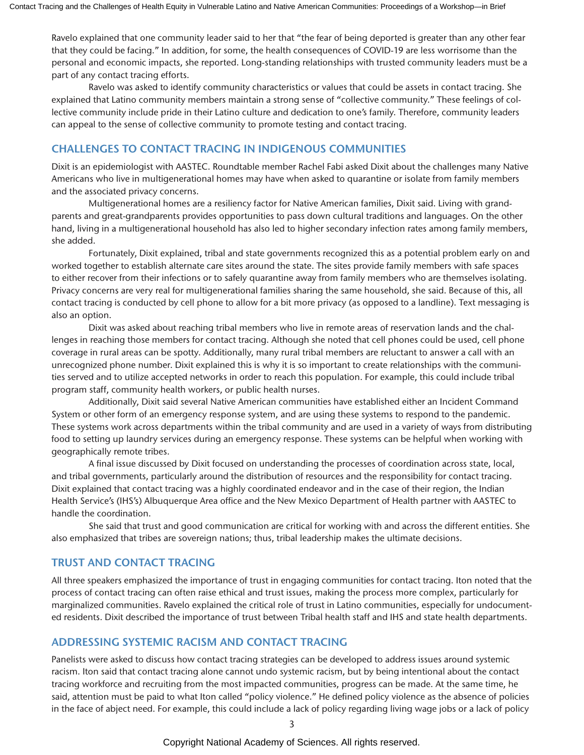Ravelo explained that one community leader said to her that "the fear of being deported is greater than any other fear that they could be facing." In addition, for some, the health consequences of COVID-19 are less worrisome than the personal and economic impacts, she reported. Long-standing relationships with trusted community leaders must be a part of any contact tracing efforts.

Ravelo was asked to identify community characteristics or values that could be assets in contact tracing. She explained that Latino community members maintain a strong sense of "collective community." These feelings of collective community include pride in their Latino culture and dedication to one's family. Therefore, community leaders can appeal to the sense of collective community to promote testing and contact tracing.

#### **CHALLENGES TO CONTACT TRACING IN INDIGENOUS COMMUNITIES**

Dixit is an epidemiologist with AASTEC. Roundtable member Rachel Fabi asked Dixit about the challenges many Native Americans who live in multigenerational homes may have when asked to quarantine or isolate from family members and the associated privacy concerns.

Multigenerational homes are a resiliency factor for Native American families, Dixit said. Living with grandparents and great-grandparents provides opportunities to pass down cultural traditions and languages. On the other hand, living in a multigenerational household has also led to higher secondary infection rates among family members, she added.

Fortunately, Dixit explained, tribal and state governments recognized this as a potential problem early on and worked together to establish alternate care sites around the state. The sites provide family members with safe spaces to either recover from their infections or to safely quarantine away from family members who are themselves isolating. Privacy concerns are very real for multigenerational families sharing the same household, she said. Because of this, all contact tracing is conducted by cell phone to allow for a bit more privacy (as opposed to a landline). Text messaging is also an option.

Dixit was asked about reaching tribal members who live in remote areas of reservation lands and the challenges in reaching those members for contact tracing. Although she noted that cell phones could be used, cell phone coverage in rural areas can be spotty. Additionally, many rural tribal members are reluctant to answer a call with an unrecognized phone number. Dixit explained this is why it is so important to create relationships with the communities served and to utilize accepted networks in order to reach this population. For example, this could include tribal program staff, community health workers, or public health nurses.

Additionally, Dixit said several Native American communities have established either an Incident Command System or other form of an emergency response system, and are using these systems to respond to the pandemic. These systems work across departments within the tribal community and are used in a variety of ways from distributing food to setting up laundry services during an emergency response. These systems can be helpful when working with geographically remote tribes.

A final issue discussed by Dixit focused on understanding the processes of coordination across state, local, and tribal governments, particularly around the distribution of resources and the responsibility for contact tracing. Dixit explained that contact tracing was a highly coordinated endeavor and in the case of their region, the Indian Health Service's (IHS's) Albuquerque Area office and the New Mexico Department of Health partner with AASTEC to handle the coordination.

She said that trust and good communication are critical for working with and across the different entities. She also emphasized that tribes are sovereign nations; thus, tribal leadership makes the ultimate decisions.

# **TRUST AND CONTACT TRACING**

All three speakers emphasized the importance of trust in engaging communities for contact tracing. Iton noted that the process of contact tracing can often raise ethical and trust issues, making the process more complex, particularly for marginalized communities. Ravelo explained the critical role of trust in Latino communities, especially for undocumented residents. Dixit described the importance of trust between Tribal health staff and IHS and state health departments.

# **ADDRESSING SYSTEMIC RACISM AND CONTACT TRACING**

Panelists were asked to discuss how contact tracing strategies can be developed to address issues around systemic racism. Iton said that contact tracing alone cannot undo systemic racism, but by being intentional about the contact tracing workforce and recruiting from the most impacted communities, progress can be made. At the same time, he said, attention must be paid to what Iton called "policy violence." He defined policy violence as the absence of policies in the face of abject need. For example, this could include a lack of policy regarding living wage jobs or a lack of policy

Copyright National Academy of Sciences. All rights reserved.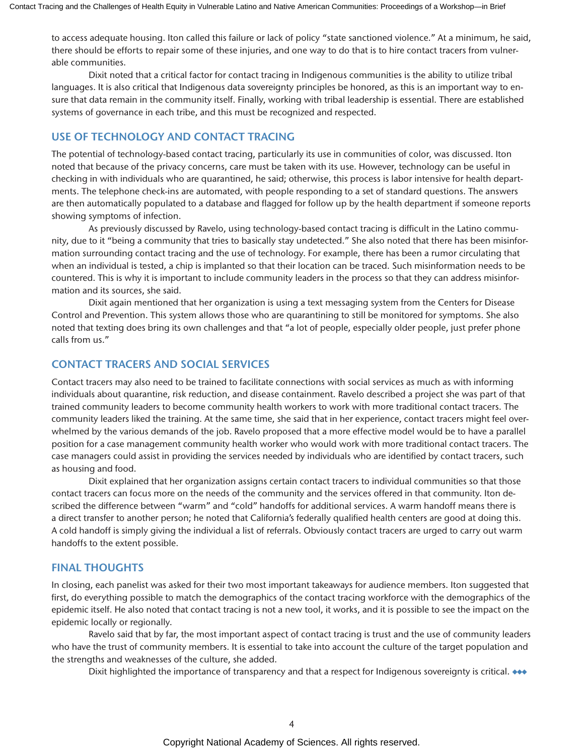to access adequate housing. Iton called this failure or lack of policy "state sanctioned violence." At a minimum, he said, there should be efforts to repair some of these injuries, and one way to do that is to hire contact tracers from vulnerable communities.

Dixit noted that a critical factor for contact tracing in Indigenous communities is the ability to utilize tribal languages. It is also critical that Indigenous data sovereignty principles be honored, as this is an important way to ensure that data remain in the community itself. Finally, working with tribal leadership is essential. There are established systems of governance in each tribe, and this must be recognized and respected.

# **USE OF TECHNOLOGY AND CONTACT TRACING**

The potential of technology-based contact tracing, particularly its use in communities of color, was discussed. Iton noted that because of the privacy concerns, care must be taken with its use. However, technology can be useful in checking in with individuals who are quarantined, he said; otherwise, this process is labor intensive for health departments. The telephone check-ins are automated, with people responding to a set of standard questions. The answers are then automatically populated to a database and flagged for follow up by the health department if someone reports showing symptoms of infection.

As previously discussed by Ravelo, using technology-based contact tracing is difficult in the Latino community, due to it "being a community that tries to basically stay undetected." She also noted that there has been misinformation surrounding contact tracing and the use of technology. For example, there has been a rumor circulating that when an individual is tested, a chip is implanted so that their location can be traced. Such misinformation needs to be countered. This is why it is important to include community leaders in the process so that they can address misinformation and its sources, she said.

Dixit again mentioned that her organization is using a text messaging system from the Centers for Disease Control and Prevention. This system allows those who are quarantining to still be monitored for symptoms. She also noted that texting does bring its own challenges and that "a lot of people, especially older people, just prefer phone calls from us."

# **CONTACT TRACERS AND SOCIAL SERVICES**

Contact tracers may also need to be trained to facilitate connections with social services as much as with informing individuals about quarantine, risk reduction, and disease containment. Ravelo described a project she was part of that trained community leaders to become community health workers to work with more traditional contact tracers. The community leaders liked the training. At the same time, she said that in her experience, contact tracers might feel overwhelmed by the various demands of the job. Ravelo proposed that a more effective model would be to have a parallel position for a case management community health worker who would work with more traditional contact tracers. The case managers could assist in providing the services needed by individuals who are identified by contact tracers, such as housing and food.

Dixit explained that her organization assigns certain contact tracers to individual communities so that those contact tracers can focus more on the needs of the community and the services offered in that community. Iton described the difference between "warm" and "cold" handoffs for additional services. A warm handoff means there is a direct transfer to another person; he noted that California's federally qualified health centers are good at doing this. A cold handoff is simply giving the individual a list of referrals. Obviously contact tracers are urged to carry out warm handoffs to the extent possible.

# **FINAL THOUGHTS**

In closing, each panelist was asked for their two most important takeaways for audience members. Iton suggested that first, do everything possible to match the demographics of the contact tracing workforce with the demographics of the epidemic itself. He also noted that contact tracing is not a new tool, it works, and it is possible to see the impact on the epidemic locally or regionally.

Ravelo said that by far, the most important aspect of contact tracing is trust and the use of community leaders who have the trust of community members. It is essential to take into account the culture of the target population and the strengths and weaknesses of the culture, she added.

Dixit highlighted the importance of transparency and that a respect for Indigenous sovereignty is critical. ◆◆